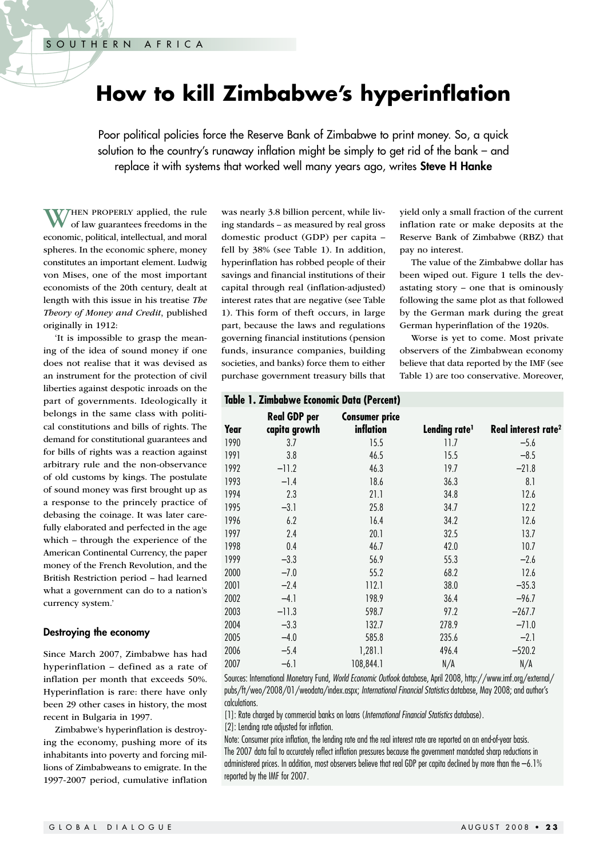# **How to kill Zimbabwe's hyperinflation**

Poor political policies force the Reserve Bank of Zimbabwe to print money. So, a quick solution to the country's runaway inflation might be simply to get rid of the bank – and replace it with systems that worked well many years ago, writes **Steve H Hanke** 

THEN PROPERLY applied, the rule of law guarantees freedoms in the economic, political, intellectual, and moral spheres. In the economic sphere, money constitutes an important element. Ludwig von Mises, one of the most important economists of the 20th century, dealt at length with this issue in his treatise *The Theory of Money and Credit*, published originally in 1912:

'It is impossible to grasp the meaning of the idea of sound money if one does not realise that it was devised as an instrument for the protection of civil liberties against despotic inroads on the part of governments. Ideologically it belongs in the same class with political constitutions and bills of rights. The demand for constitutional guarantees and for bills of rights was a reaction against arbitrary rule and the non-observance of old customs by kings. The postulate of sound money was first brought up as a response to the princely practice of debasing the coinage. It was later carefully elaborated and perfected in the age which – through the experience of the American Continental Currency, the paper money of the French Revolution, and the British Restriction period – had learned what a government can do to a nation's currency system.'

#### Destroying the economy

Since March 2007, Zimbabwe has had hyperinflation – defined as a rate of inflation per month that exceeds 50%. Hyperinflation is rare: there have only been 29 other cases in history, the most recent in Bulgaria in 1997.

Zimbabwe's hyperinflation is destroying the economy, pushing more of its inhabitants into poverty and forcing millions of Zimbabweans to emigrate. In the 1997-2007 period, cumulative inflation

was nearly 3.8 billion percent, while living standards – as measured by real gross domestic product (GDP) per capita – fell by 38% (see Table 1). In addition, hyperinflation has robbed people of their savings and financial institutions of their capital through real (inflation-adjusted) interest rates that are negative (see Table 1). This form of theft occurs, in large part, because the laws and regulations governing financial institutions (pension funds, insurance companies, building societies, and banks) force them to either purchase government treasury bills that yield only a small fraction of the current inflation rate or make deposits at the Reserve Bank of Zimbabwe (RBZ) that pay no interest.

The value of the Zimbabwe dollar has been wiped out. Figure 1 tells the devastating story – one that is ominously following the same plot as that followed by the German mark during the great German hyperinflation of the 1920s.

Worse is yet to come. Most private observers of the Zimbabwean economy believe that data reported by the IMF (see Table 1) are too conservative. Moreover,

| Table 1. Zimbabwe Economic Data (Percent) |                                      |                                    |                           |                                 |
|-------------------------------------------|--------------------------------------|------------------------------------|---------------------------|---------------------------------|
| Year                                      | <b>Real GDP per</b><br>capita growth | <b>Consumer price</b><br>inflation | Lending rate <sup>1</sup> | Real interest rate <sup>2</sup> |
| 1990                                      | 3.7                                  | 15.5                               | 11.7                      | $-5.6$                          |
| 1991                                      | 3.8                                  | 46.5                               | 15.5                      | $-8.5$                          |
| 1992                                      | $-11.2$                              | 46.3                               | 19.7                      | $-21.8$                         |
| 1993                                      | $-1.4$                               | 18.6                               | 36.3                      | 8.1                             |
| 1994                                      | 2.3                                  | 21.1                               | 34.8                      | 12.6                            |
| 1995                                      | $-3.1$                               | 25.8                               | 34.7                      | 12.2                            |
| 1996                                      | 6.2                                  | 16.4                               | 34.2                      | 12.6                            |
| 1997                                      | 2.4                                  | 20.1                               | 32.5                      | 13.7                            |
| 1998                                      | 0.4                                  | 46.7                               | 42.0                      | 10.7                            |
| 1999                                      | $-3.3$                               | 56.9                               | 55.3                      | $-2.6$                          |
| 2000                                      | $-7.0$                               | 55.2                               | 68.2                      | 12.6                            |
| 2001                                      | $-2.4$                               | 112.1                              | 38.0                      | $-35.3$                         |
| 2002                                      | $-4.1$                               | 198.9                              | 36.4                      | $-96.7$                         |
| 2003                                      | $-11.3$                              | 598.7                              | 97.2                      | $-267.7$                        |
| 2004                                      | $-3.3$                               | 132.7                              | 278.9                     | $-71.0$                         |
| 2005                                      | $-4.0$                               | 585.8                              | 235.6                     | $-2.1$                          |
| 2006                                      | $-5.4$                               | 1,281.1                            | 496.4                     | $-520.2$                        |
| 2007                                      | $-6.1$                               | 108,844.1                          | N/A                       | N/A                             |

Sources: International Monetary Fund, *World Economic Outlook* database, April 2008, http://www.imf.org/external/ pubs/ft/weo/2008/01/weodata/index.aspx; *International Financial Statistics* database, May 2008; and author's calculations.

[1]: Rate charged by commercial banks on loans (*International Financial Statistics* database).

[2]: Lending rate adjusted for inflation.

Note: Consumer price inflation, the lending rate and the real interest rate are reported on an end-of-year basis. The 2007 data fail to accurately reflect inflation pressures because the government mandated sharp reductions in administered prices. In addition, most observers believe that real GDP per capita declined by more than the –6.1% reported by the IMF for 2007.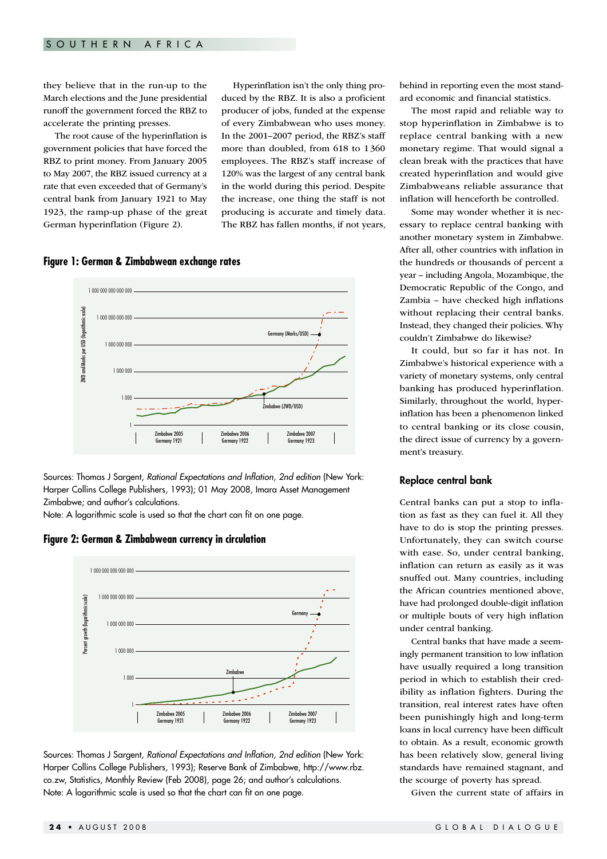they believe that in the run-up to the March elections and the June presidential runoff the government forced the RBZ to accelerate the printing presses.

The root cause of the hyperinflation is government policies that have forced the RBZ to print money. From January 2005 to May 2007, the RBZ issued currency at a rate that even exceeded that of Germany's central bank from January 1921 to May 1923, the ramp-up phase of the great German hyperinflation (Figure 2).

Hyperinflation isn't the only thing produced by the RBZ. It is also a proficient producer of jobs, funded at the expense of every Zimbabwean who uses money. In the 2001–2007 period, the RBZ's staff more than doubled, from 618 to 1 360 employees. The RBZ's staff increase of 120% was the largest of any central bank in the world during this period. Despite the increase, one thing the staff is not producing is accurate and timely data. The RBZ has fallen months, if not years,

**Figure 1: German & Zimbabwean exchange rates**



Sources: Thomas J Sargent, *Rational Expectations and Inflation, 2nd edition* (New York: Harper Collins College Publishers, 1993); 01 May 2008, Imara Asset Management Zimbabwe; and author's calculations.

Note: A logarithmic scale is used so that the chart can fit on one page.

**Figure 2: German & Zimbabwean currency in circulation**



Sources: Thomas J Sargent, *Rational Expectations and Inflation, 2nd edition* (New York: Harper Collins College Publishers, 1993); Reserve Bank of Zimbabwe, http://www.rbz. co.zw, Statistics, Monthly Review (Feb 2008), page 26; and author's calculations. Note: A logarithmic scale is used so that the chart can fit on one page.

behind in reporting even the most standard economic and financial statistics.

The most rapid and reliable way to stop hyperinflation in Zimbabwe is to replace central banking with a new monetary regime. That would signal a clean break with the practices that have created hyperinflation and would give Zimbabweans reliable assurance that inflation will henceforth be controlled.

Some may wonder whether it is necessary to replace central banking with another monetary system in Zimbabwe. After all, other countries with inflation in the hundreds or thousands of percent a year – including Angola, Mozambique, the Democratic Republic of the Congo, and Zambia – have checked high inflations without replacing their central banks. Instead, they changed their policies. Why couldn't Zimbabwe do likewise?

It could, but so far it has not. In Zimbabwe's historical experience with a variety of monetary systems, only central banking has produced hyperinflation. Similarly, throughout the world, hyperinflation has been a phenomenon linked to central banking or its close cousin, the direct issue of currency by a government's treasury.

#### Replace central bank

Central banks can put a stop to inflation as fast as they can fuel it. All they have to do is stop the printing presses. Unfortunately, they can switch course with ease. So, under central banking, inflation can return as easily as it was snuffed out. Many countries, including the African countries mentioned above, have had prolonged double-digit inflation or multiple bouts of very high inflation under central banking.

Central banks that have made a seemingly permanent transition to low inflation have usually required a long transition period in which to establish their credibility as inflation fighters. During the transition, real interest rates have often been punishingly high and long-term loans in local currency have been difficult to obtain. As a result, economic growth has been relatively slow, general living standards have remained stagnant, and the scourge of poverty has spread.

Given the current state of affairs in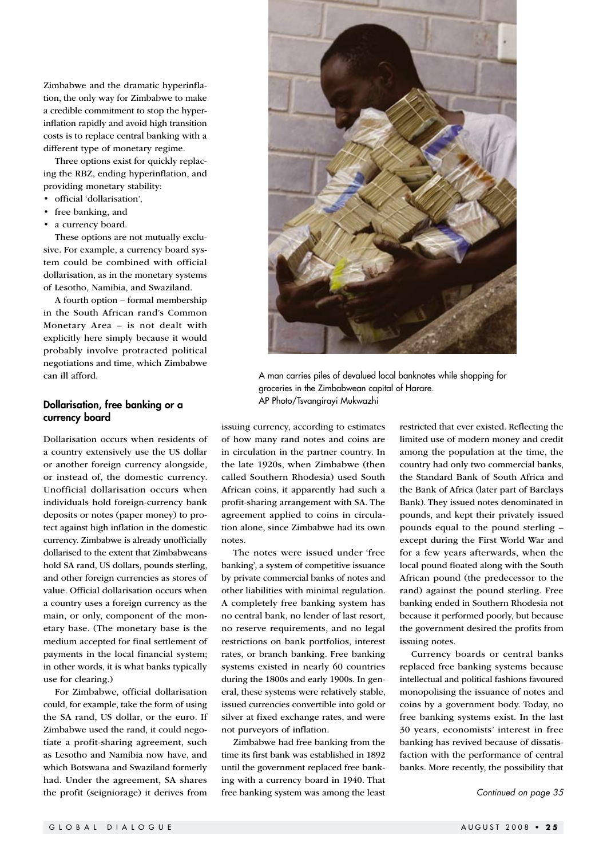Zimbabwe and the dramatic hyperinflation, the only way for Zimbabwe to make a credible commitment to stop the hyperinflation rapidly and avoid high transition costs is to replace central banking with a different type of monetary regime.

Three options exist for quickly replacing the RBZ, ending hyperinflation, and providing monetary stability:

- • official 'dollarisation',
- free banking, and
- a currency board.

These options are not mutually exclusive. For example, a currency board system could be combined with official dollarisation, as in the monetary systems of Lesotho, Namibia, and Swaziland.

A fourth option – formal membership in the South African rand's Common Monetary Area – is not dealt with explicitly here simply because it would probably involve protracted political negotiations and time, which Zimbabwe can ill afford.

# Dollarisation, free banking or a currency board

Dollarisation occurs when residents of a country extensively use the US dollar or another foreign currency alongside, or instead of, the domestic currency. Unofficial dollarisation occurs when individuals hold foreign-currency bank deposits or notes (paper money) to protect against high inflation in the domestic currency. Zimbabwe is already unofficially dollarised to the extent that Zimbabweans hold SA rand, US dollars, pounds sterling, and other foreign currencies as stores of value. Official dollarisation occurs when a country uses a foreign currency as the main, or only, component of the monetary base. (The monetary base is the medium accepted for final settlement of payments in the local financial system; in other words, it is what banks typically use for clearing.)

For Zimbabwe, official dollarisation could, for example, take the form of using the SA rand, US dollar, or the euro. If Zimbabwe used the rand, it could negotiate a profit-sharing agreement, such as Lesotho and Namibia now have, and which Botswana and Swaziland formerly had. Under the agreement, SA shares the profit (seigniorage) it derives from



A man carries piles of devalued local banknotes while shopping for groceries in the Zimbabwean capital of Harare. AP Photo/Tsvangirayi Mukwazhi

issuing currency, according to estimates of how many rand notes and coins are in circulation in the partner country. In the late 1920s, when Zimbabwe (then called Southern Rhodesia) used South African coins, it apparently had such a profit-sharing arrangement with SA. The agreement applied to coins in circulation alone, since Zimbabwe had its own notes.

The notes were issued under 'free banking', a system of competitive issuance by private commercial banks of notes and other liabilities with minimal regulation. A completely free banking system has no central bank, no lender of last resort, no reserve requirements, and no legal restrictions on bank portfolios, interest rates, or branch banking. Free banking systems existed in nearly 60 countries during the 1800s and early 1900s. In general, these systems were relatively stable, issued currencies convertible into gold or silver at fixed exchange rates, and were not purveyors of inflation.

Zimbabwe had free banking from the time its first bank was established in 1892 until the government replaced free banking with a currency board in 1940. That free banking system was among the least restricted that ever existed. Reflecting the limited use of modern money and credit among the population at the time, the country had only two commercial banks, the Standard Bank of South Africa and the Bank of Africa (later part of Barclays Bank). They issued notes denominated in pounds, and kept their privately issued pounds equal to the pound sterling – except during the First World War and for a few years afterwards, when the local pound floated along with the South African pound (the predecessor to the rand) against the pound sterling. Free banking ended in Southern Rhodesia not because it performed poorly, but because the government desired the profits from issuing notes.

Currency boards or central banks replaced free banking systems because intellectual and political fashions favoured monopolising the issuance of notes and coins by a government body. Today, no free banking systems exist. In the last 30 years, economists' interest in free banking has revived because of dissatisfaction with the performance of central banks. More recently, the possibility that

*Continued on page 35*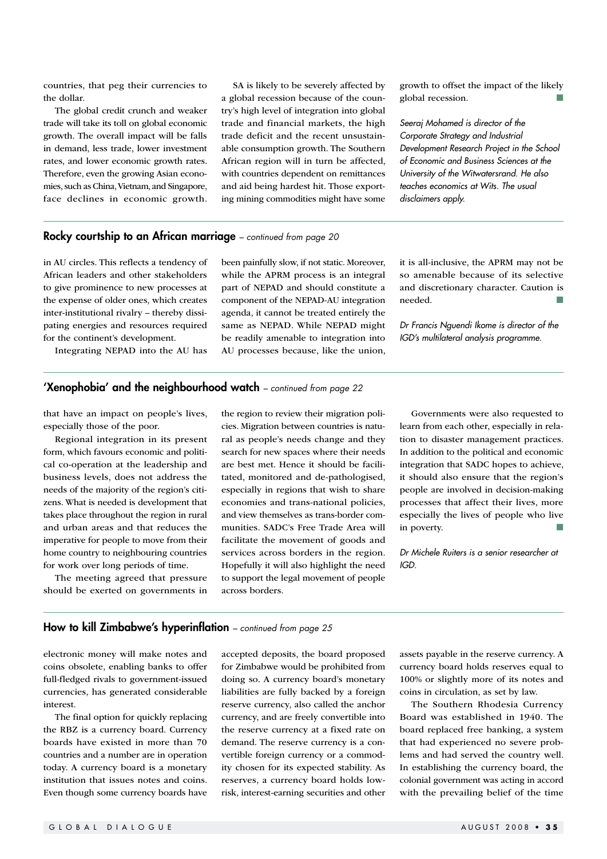countries, that peg their currencies to the dollar.

The global credit crunch and weaker trade will take its toll on global economic growth. The overall impact will be falls in demand, less trade, lower investment rates, and lower economic growth rates. Therefore, even the growing Asian economies, such as China, Vietnam, and Singapore, face declines in economic growth.

SA is likely to be severely affected by a global recession because of the country's high level of integration into global trade and financial markets, the high trade deficit and the recent unsustainable consumption growth. The Southern African region will in turn be affected, with countries dependent on remittances and aid being hardest hit. Those exporting mining commodities might have some growth to offset the impact of the likely global recession.

*Seeraj Mohamed is director of the Corporate Strategy and Industrial Development Research Project in the School of Economic and Business Sciences at the University of the Witwatersrand. He also teaches economics at Wits. The usual disclaimers apply.*

# Rocky courtship to an African marriage *– continued from page 20*

in AU circles. This reflects a tendency of African leaders and other stakeholders to give prominence to new processes at the expense of older ones, which creates inter-institutional rivalry – thereby dissipating energies and resources required for the continent's development.

Integrating NEPAD into the AU has

been painfully slow, if not static. Moreover, while the APRM process is an integral part of NEPAD and should constitute a component of the NEPAD-AU integration agenda, it cannot be treated entirely the same as NEPAD. While NEPAD might be readily amenable to integration into AU processes because, like the union, it is all-inclusive, the APRM may not be so amenable because of its selective and discretionary character. Caution is needed.

*Dr Francis Nguendi Ikome is director of the IGD's multilateral analysis programme.*

# 'Xenophobia' and the neighbourhood watch *– continued from page 22*

that have an impact on people's lives, especially those of the poor.

Regional integration in its present form, which favours economic and political co-operation at the leadership and business levels, does not address the needs of the majority of the region's citizens. What is needed is development that takes place throughout the region in rural and urban areas and that reduces the imperative for people to move from their home country to neighbouring countries for work over long periods of time.

The meeting agreed that pressure should be exerted on governments in

the region to review their migration policies. Migration between countries is natural as people's needs change and they search for new spaces where their needs are best met. Hence it should be facilitated, monitored and de-pathologised, especially in regions that wish to share economies and trans-national policies, and view themselves as trans-border communities. SADC's Free Trade Area will facilitate the movement of goods and services across borders in the region. Hopefully it will also highlight the need to support the legal movement of people across borders.

Governments were also requested to learn from each other, especially in relation to disaster management practices. In addition to the political and economic integration that SADC hopes to achieve, it should also ensure that the region's people are involved in decision-making processes that affect their lives, more especially the lives of people who live in poverty.

*Dr Michele Ruiters is a senior researcher at IGD.*

# How to kill Zimbabwe's hyperinflation *– continued from page 25*

electronic money will make notes and coins obsolete, enabling banks to offer full-fledged rivals to government-issued currencies, has generated considerable interest.

The final option for quickly replacing the RBZ is a currency board. Currency boards have existed in more than 70 countries and a number are in operation today. A currency board is a monetary institution that issues notes and coins. Even though some currency boards have

accepted deposits, the board proposed for Zimbabwe would be prohibited from doing so. A currency board's monetary liabilities are fully backed by a foreign reserve currency, also called the anchor currency, and are freely convertible into the reserve currency at a fixed rate on demand. The reserve currency is a convertible foreign currency or a commodity chosen for its expected stability. As reserves, a currency board holds lowrisk, interest-earning securities and other assets payable in the reserve currency. A currency board holds reserves equal to 100% or slightly more of its notes and coins in circulation, as set by law.

The Southern Rhodesia Currency Board was established in 1940. The board replaced free banking, a system that had experienced no severe problems and had served the country well. In establishing the currency board, the colonial government was acting in accord with the prevailing belief of the time